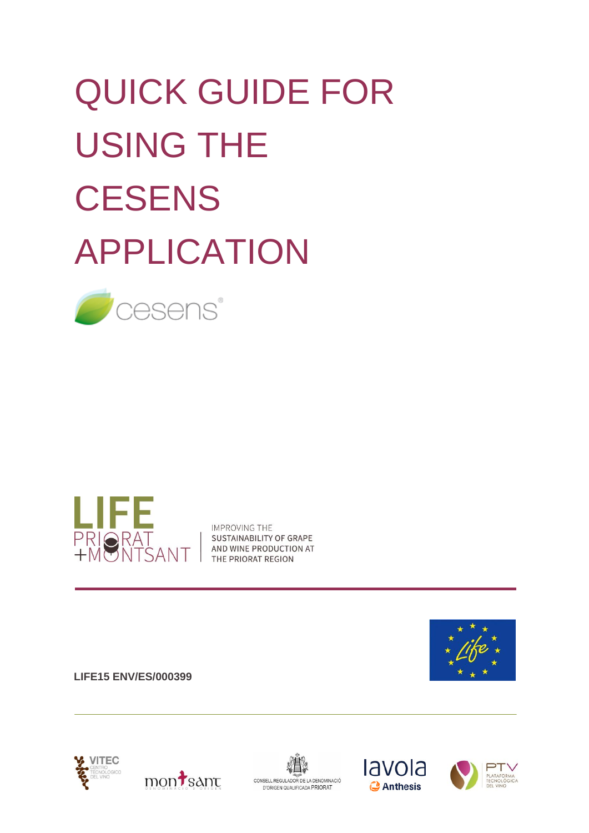# QUICK GUIDE FOR USING THE **CESENS** APPLICATION





**IMPROVING THE** SUSTAINABILITY OF GRAPE AND WINE PRODUCTION AT THE PRIORAT REGION













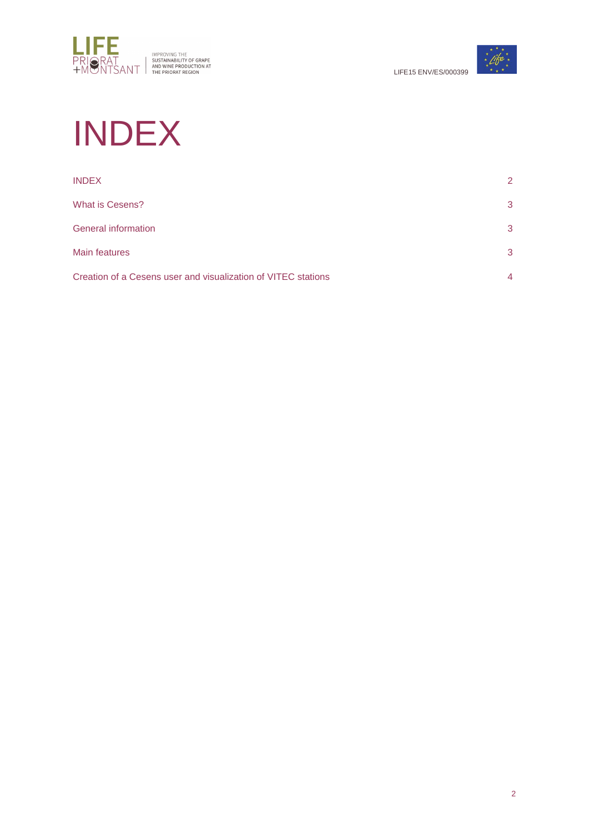



# INDEX

| <b>INDEX</b>                                                  | 2              |
|---------------------------------------------------------------|----------------|
| <b>What is Cesens?</b>                                        | 3              |
| <b>General information</b>                                    | 3              |
| <b>Main features</b>                                          | 3              |
| Creation of a Cesens user and visualization of VITEC stations | $\overline{4}$ |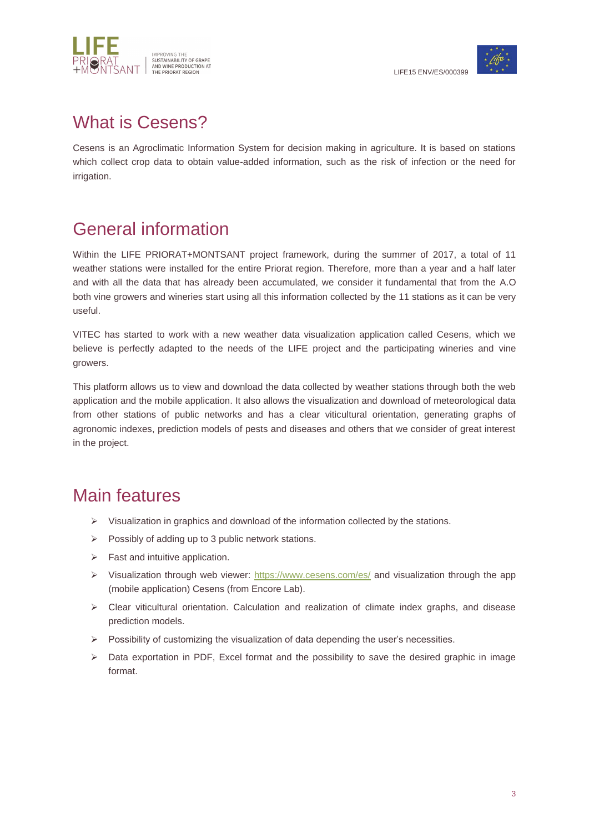



## What is Cesens?

Cesens is an Agroclimatic Information System for decision making in agriculture. It is based on stations which collect crop data to obtain value-added information, such as the risk of infection or the need for irrigation.

# General information

Within the LIFE PRIORAT+MONTSANT project framework, during the summer of 2017, a total of 11 weather stations were installed for the entire Priorat region. Therefore, more than a year and a half later and with all the data that has already been accumulated, we consider it fundamental that from the A.O both vine growers and wineries start using all this information collected by the 11 stations as it can be very useful.

VITEC has started to work with a new weather data visualization application called Cesens, which we believe is perfectly adapted to the needs of the LIFE project and the participating wineries and vine growers.

This platform allows us to view and download the data collected by weather stations through both the web application and the mobile application. It also allows the visualization and download of meteorological data from other stations of public networks and has a clear viticultural orientation, generating graphs of agronomic indexes, prediction models of pests and diseases and others that we consider of great interest in the project.

#### Main features

- $\triangleright$  Visualization in graphics and download of the information collected by the stations.
- $\triangleright$  Possibly of adding up to 3 public network stations.
- $\triangleright$  Fast and intuitive application.
- $\triangleright$  Visualization through web viewer:<https://www.cesens.com/es/> and visualization through the app (mobile application) Cesens (from Encore Lab).
- $\triangleright$  Clear viticultural orientation. Calculation and realization of climate index graphs, and disease prediction models.
- $\triangleright$  Possibility of customizing the visualization of data depending the user's necessities.
- $\triangleright$  Data exportation in PDF, Excel format and the possibility to save the desired graphic in image format.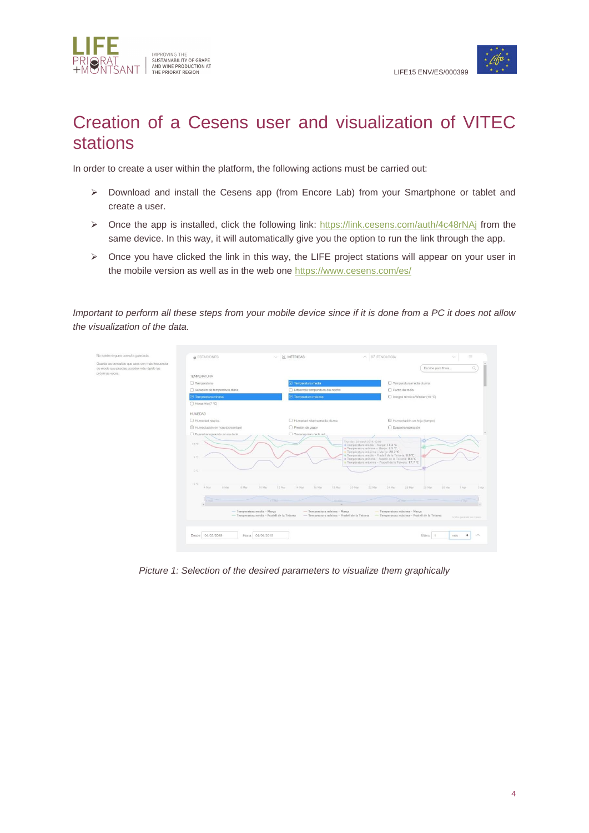



## Creation of a Cesens user and visualization of VITEC stations

In order to create a user within the platform, the following actions must be carried out:

- Download and install the Cesens app (from Encore Lab) from your Smartphone or tablet and create a user.
- $\triangleright$  Once the app is installed, click the following link:<https://link.cesens.com/auth/4c48rNAj> from the same device. In this way, it will automatically give you the option to run the link through the app.
- $\triangleright$  Once you have clicked the link in this way, the LIFE project stations will appear on your user in the mobile version as well as in the web one <https://www.cesens.com/es/>

*Important to perform all these steps from your mobile device since if it is done from a PC it does not allow the visualization of the data.*



*Picture 1: Selection of the desired parameters to visualize them graphically*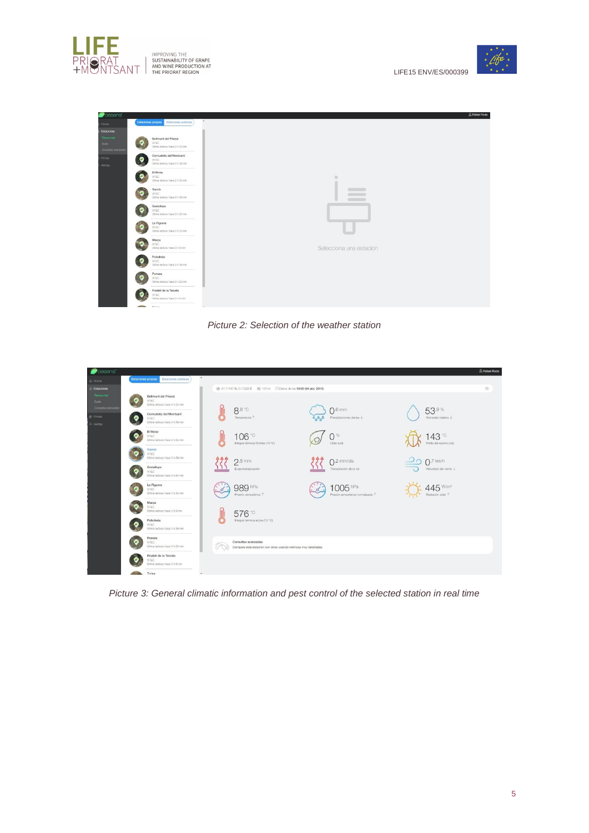

IMPROVING THE<br>TAND WINE PRODUCTION AT AND WINE PRODUCTION AT THE PRIORAT REGION



| Estaciones propias Estaciones públicas                                         | $\hat{\phantom{a}}$                           |
|--------------------------------------------------------------------------------|-----------------------------------------------|
|                                                                                |                                               |
| Bellmunt del Priorat<br><b>VITEC</b><br>Útima lectura: hace 3 h 23 min         |                                               |
| Cornudella del Montsant<br>Θ<br><b>VITEC</b><br>Útima lectura: hace 3 h 38 min |                                               |
| El Molar<br><b>WTEC</b><br>Última lectura: hace 2 h 53 min                     | ٠                                             |
| García<br><b>WTEC</b><br>Última lectura: hace 3 h 38 min                       | $c = -1$<br><b>Contract Contract Contract</b> |
| Gratallops<br><b>WTEC</b><br>Littima lectura: hace 3 h 23 min                  |                                               |
| La Figuera<br><b>WTEC</b><br>Útima lectura: hace 3 h 23 min                    |                                               |
| Marca<br><b>WTEC</b><br>Última lectura: hace 3 h 8 min.                        | Selecciona una estación                       |
| Poboleda<br><b>WTEC</b><br>Littima lectura: hace 3 h 38 min                    |                                               |
| Porrera<br>n<br>WIEC.<br>Littima lectura: hace 3 h 23 min                      |                                               |
| Pradell de la Teixeta<br><b>WTEC</b><br>Útlimá lectura: hace 3 h 8 min.        |                                               |
| <b>AND</b><br>Witness.                                                         |                                               |



| Cesens'               |                                                                                                   |                                                                         |                     |                                  |       |                                   |  |                              | & Rafael Roda |
|-----------------------|---------------------------------------------------------------------------------------------------|-------------------------------------------------------------------------|---------------------|----------------------------------|-------|-----------------------------------|--|------------------------------|---------------|
| & Home                |                                                                                                   | Estaciones propias Estaciones públicas                                  | $\hat{\phantom{a}}$ |                                  |       |                                   |  |                              |               |
| & Estaciones          |                                                                                                   |                                                                         |                     |                                  |       |                                   |  |                              | Ö             |
| Tiempo real<br>Supo . |                                                                                                   | Bellmunt del Priorat<br>VITEC.                                          |                     |                                  |       |                                   |  |                              |               |
| Consultas avenada     |                                                                                                   | Ultima lectura: hace 3 h 24 min                                         |                     | 8.8 °C                           |       | $\Omega$ .0 mm                    |  | 53,9%                        |               |
| & Fincas              | $\bullet$                                                                                         | Cornudella del Montsant<br><b>VITEC</b>                                 |                     | Temperatura 1                    | 0.000 | Precipitaciones diarias -         |  | Humedad relativa J           |               |
| C Alertas             |                                                                                                   | Última lectura: hace 3 h 39 min                                         |                     |                                  |       |                                   |  |                              |               |
|                       |                                                                                                   | El Molar<br><b>VITEC</b>                                                |                     | 106 <sup>°</sup>                 |       | 0%                                |  | $143^{\circ}$                |               |
|                       |                                                                                                   | Ultima lectura: hace 2 h 54 min                                         |                     | Integral térmica Winkler (10 °C) |       | Oldio (vid)                       |  | Polilla del racimo (vid)     |               |
|                       |                                                                                                   | Garcia<br><b>VITEC</b>                                                  |                     |                                  |       |                                   |  |                              |               |
|                       |                                                                                                   | Ultima lectura: hace 3 h 39 min                                         |                     | $2.5 \text{ mm}$                 |       | $\bigcap$ .2 mm/día               |  | $7.7$ km/h                   |               |
|                       |                                                                                                   | Gratallops<br><b>VITEC</b>                                              |                     | Evapotranspiración               |       | Transpiración de la vid           |  | Velocidad del viento J       |               |
|                       |                                                                                                   | Útlima lectura: hace 3 h 24 min                                         |                     |                                  |       |                                   |  |                              |               |
|                       |                                                                                                   | La Figuera<br><b>VITEC</b>                                              |                     | 989 hPa                          |       | $1005$ hPa                        |  | $145$ W/m <sup>2</sup>       |               |
|                       |                                                                                                   | Utima lectura: hace 3 h 24 min                                          |                     | Presión atmosférica 1            |       | Presión atmosférica normalizada 1 |  | Radiación solar <sup>1</sup> |               |
|                       |                                                                                                   | Marca<br>VITEC.                                                         |                     |                                  |       |                                   |  |                              |               |
|                       |                                                                                                   | Última lectura: hace 3 h 9 min                                          |                     | 576 <sup>°</sup>                 |       |                                   |  |                              |               |
|                       |                                                                                                   | Poboleda<br><b>VITEC</b><br>Última lectura: hace 3 h 39 min             |                     | Integral térmica activa (10 °C)  |       |                                   |  |                              |               |
|                       |                                                                                                   |                                                                         |                     |                                  |       |                                   |  |                              |               |
|                       |                                                                                                   | Porrera<br><b>VITEC</b>                                                 |                     | Consultas avanzadas              |       |                                   |  |                              |               |
|                       | Ultima lectura: hace 3 h 24 min<br>Compara esta estación con otras usando métricas muy detalladas |                                                                         |                     |                                  |       |                                   |  |                              |               |
|                       |                                                                                                   | Pradell de la Teixeta<br><b>VITEC</b><br>Última lectura: hace 3 h 9 min |                     |                                  |       |                                   |  |                              |               |
|                       |                                                                                                   |                                                                         |                     |                                  |       |                                   |  |                              |               |
|                       |                                                                                                   | Tivisa                                                                  |                     |                                  |       |                                   |  |                              |               |

*Picture 3: General climatic information and pest control of the selected station in real time*